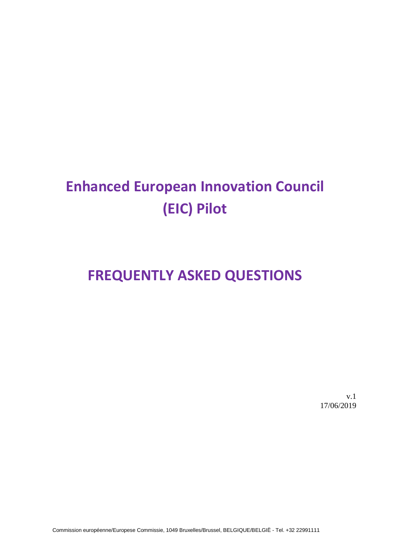# **Enhanced European Innovation Council (EIC) Pilot**

# **FREQUENTLY ASKED QUESTIONS**

v.1 17/06/2019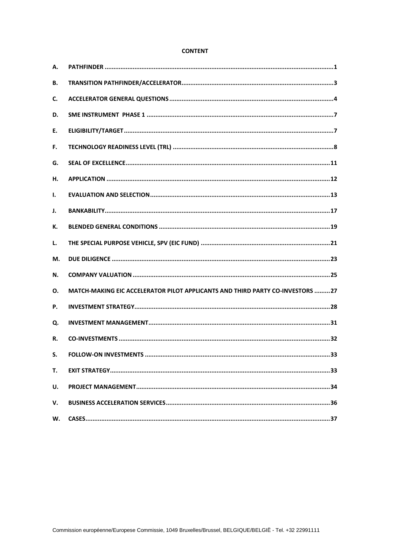#### **CONTENT**

| А. |                                                                               |
|----|-------------------------------------------------------------------------------|
| В. |                                                                               |
| C. |                                                                               |
| D. |                                                                               |
| Ε. |                                                                               |
| F. |                                                                               |
| G. |                                                                               |
| Н. |                                                                               |
| Ι. |                                                                               |
| J. |                                                                               |
| К. |                                                                               |
| L. |                                                                               |
| М. |                                                                               |
| N. |                                                                               |
| О. | MATCH-MAKING EIC ACCELERATOR PILOT APPLICANTS AND THIRD PARTY CO-INVESTORS 27 |
| Ρ. |                                                                               |
| Q. |                                                                               |
| R. |                                                                               |
| S. |                                                                               |
| Т. |                                                                               |
| U. |                                                                               |
| V. |                                                                               |
| W. |                                                                               |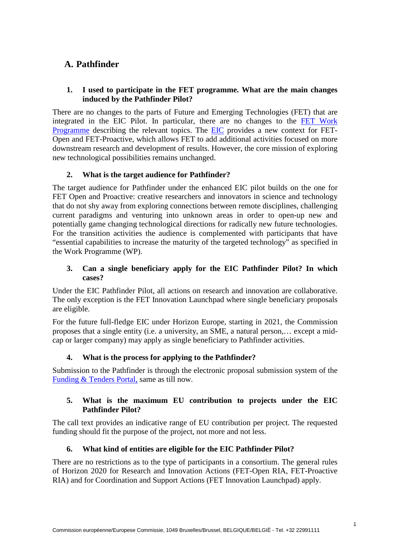# <span id="page-2-0"></span>**A. Pathfinder**

# **1. I used to participate in the FET programme. What are the main changes induced by the Pathfinder Pilot?**

There are no changes to the parts of Future and Emerging Technologies (FET) that are integrated in the EIC Pilot. In particular, there are no changes to the FET [Work](https://ec.europa.eu/programmes/horizon2020/en/future-and-emerging-technologies-fet-work-programme-2018-2020-preparation)  [Programme](https://ec.europa.eu/programmes/horizon2020/en/future-and-emerging-technologies-fet-work-programme-2018-2020-preparation) describing the relevant topics. The [EIC](https://ec.europa.eu/research/eic/index.cfm) provides a new context for FET-Open and FET-Proactive, which allows FET to add additional activities focused on more downstream research and development of results. However, the core mission of exploring new technological possibilities remains unchanged.

# **2. What is the target audience for Pathfinder?**

The target audience for Pathfinder under the enhanced EIC pilot builds on the one for FET Open and Proactive: creative researchers and innovators in science and technology that do not shy away from exploring connections between remote disciplines, challenging current paradigms and venturing into unknown areas in order to open-up new and potentially game changing technological directions for radically new future technologies. For the transition activities the audience is complemented with participants that have "essential capabilities to increase the maturity of the targeted technology" as specified in the Work Programme (WP).

# **3. Can a single beneficiary apply for the EIC Pathfinder Pilot? In which cases?**

Under the EIC Pathfinder Pilot, all actions on research and innovation are collaborative. The only exception is the FET Innovation Launchpad where single beneficiary proposals are eligible.

For the future full-fledge EIC under Horizon Europe, starting in 2021, the Commission proposes that a single entity (i.e. a university, an SME, a natural person,… except a midcap or larger company) may apply as single beneficiary to Pathfinder activities.

# **4. What is the process for applying to the Pathfinder?**

Submission to the Pathfinder is through the electronic proposal submission system of the [Funding & Tenders Portal,](https://ec.europa.eu/info/funding-tenders/opportunities/portal/screen/home) same as till now.

# **5. What is the maximum EU contribution to projects under the EIC Pathfinder Pilot?**

The call text provides an indicative range of EU contribution per project. The requested funding should fit the purpose of the project, not more and not less.

# **6. What kind of entities are eligible for the EIC Pathfinder Pilot?**

There are no restrictions as to the type of participants in a consortium. The general rules of Horizon 2020 for Research and Innovation Actions (FET-Open RIA, FET-Proactive RIA) and for Coordination and Support Actions (FET Innovation Launchpad) apply.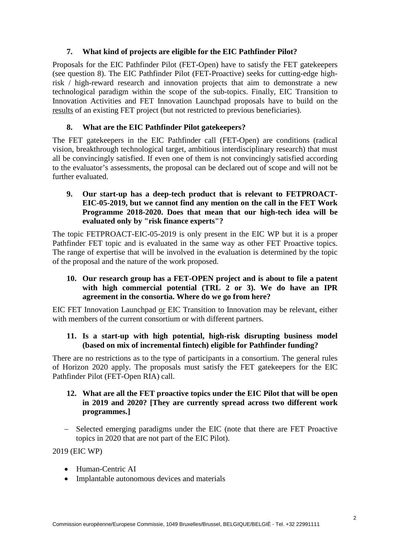# **7. What kind of projects are eligible for the EIC Pathfinder Pilot?**

Proposals for the EIC Pathfinder Pilot (FET-Open) have to satisfy the FET gatekeepers (see question [8\)](#page-3-0). The EIC Pathfinder Pilot (FET-Proactive) seeks for cutting-edge highrisk / high-reward research and innovation projects that aim to demonstrate a new technological paradigm within the scope of the sub-topics. Finally, EIC Transition to Innovation Activities and FET Innovation Launchpad proposals have to build on the results of an existing FET project (but not restricted to previous beneficiaries).

# <span id="page-3-0"></span>**8. What are the EIC Pathfinder Pilot gatekeepers?**

The FET gatekeepers in the EIC Pathfinder call (FET-Open) are conditions (radical vision, breakthrough technological target, ambitious interdisciplinary research) that must all be convincingly satisfied. If even one of them is not convincingly satisfied according to the evaluator's assessments, the proposal can be declared out of scope and will not be further evaluated.

**9. Our start-up has a deep-tech product that is relevant to FETPROACT-EIC-05-2019, but we cannot find any mention on the call in the FET Work Programme 2018-2020. Does that mean that our high-tech idea will be evaluated only by "risk finance experts"?**

The topic FETPROACT-EIC-05-2019 is only present in the EIC WP but it is a proper Pathfinder FET topic and is evaluated in the same way as other FET Proactive topics. The range of expertise that will be involved in the evaluation is determined by the topic of the proposal and the nature of the work proposed.

# **10. Our research group has a FET-OPEN project and is about to file a patent with high commercial potential (TRL 2 or 3). We do have an IPR agreement in the consortia. Where do we go from here?**

EIC FET Innovation Launchpad or EIC Transition to Innovation may be relevant, either with members of the current consortium or with different partners.

#### **11. Is a start-up with high potential, high-risk disrupting business model (based on mix of incremental fintech) eligible for Pathfinder funding?**

There are no restrictions as to the type of participants in a consortium. The general rules of Horizon 2020 apply. The proposals must satisfy the FET gatekeepers for the EIC Pathfinder Pilot (FET-Open RIA) call.

# **12. What are all the FET proactive topics under the EIC Pilot that will be open in 2019 and 2020? [They are currently spread across two different work programmes.]**

− Selected emerging paradigms under the EIC (note that there are FET Proactive topics in 2020 that are not part of the EIC Pilot).

2019 (EIC WP)

- Human-Centric AI
- Implantable autonomous devices and materials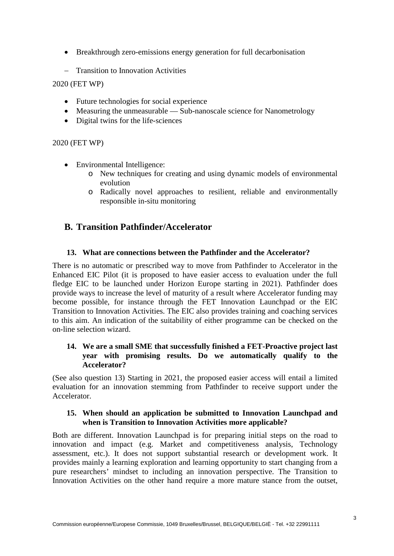- Breakthrough zero-emissions energy generation for full decarbonisation
- − Transition to Innovation Activities

2020 (FET WP)

- Future technologies for social experience
- Measuring the unmeasurable Sub-nanoscale science for Nanometrology
- Digital twins for the life-sciences

2020 (FET WP)

- Environmental Intelligence:
	- o New techniques for creating and using dynamic models of environmental evolution
	- o Radically novel approaches to resilient, reliable and environmentally responsible in-situ monitoring

# <span id="page-4-0"></span>**B. Transition Pathfinder/Accelerator**

#### <span id="page-4-1"></span>**13. What are connections between the Pathfinder and the Accelerator?**

There is no automatic or prescribed way to move from Pathfinder to Accelerator in the Enhanced EIC Pilot (it is proposed to have easier access to evaluation under the full fledge EIC to be launched under Horizon Europe starting in 2021). Pathfinder does provide ways to increase the level of maturity of a result where Accelerator funding may become possible, for instance through the FET Innovation Launchpad or the EIC Transition to Innovation Activities. The EIC also provides training and coaching services to this aim. An indication of the suitability of either programme can be checked on the on-line selection wizard.

## **14. We are a small SME that successfully finished a FET-Proactive project last year with promising results. Do we automatically qualify to the Accelerator?**

(See also question [13\)](#page-4-1) Starting in 2021, the proposed easier access will entail a limited evaluation for an innovation stemming from Pathfinder to receive support under the Accelerator.

#### **15. When should an application be submitted to Innovation Launchpad and when is Transition to Innovation Activities more applicable?**

Both are different. Innovation Launchpad is for preparing initial steps on the road to innovation and impact (e.g. Market and competitiveness analysis, Technology assessment, etc.). It does not support substantial research or development work. It provides mainly a learning exploration and learning opportunity to start changing from a pure researchers' mindset to including an innovation perspective. The Transition to Innovation Activities on the other hand require a more mature stance from the outset,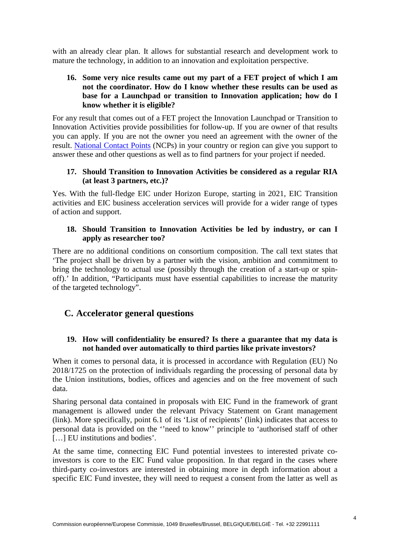with an already clear plan. It allows for substantial research and development work to mature the technology, in addition to an innovation and exploitation perspective.

# **16. Some very nice results came out my part of a FET project of which I am not the coordinator. How do I know whether these results can be used as base for a Launchpad or transition to Innovation application; how do I know whether it is eligible?**

For any result that comes out of a FET project the Innovation Launchpad or Transition to Innovation Activities provide possibilities for follow-up. If you are owner of that results you can apply. If you are not the owner you need an agreement with the owner of the result. [National Contact Points](https://ec.europa.eu/info/funding-tenders/opportunities/portal/screen/support/ncp) (NCPs) in your country or region can give you support to answer these and other questions as well as to find partners for your project if needed.

# **17. Should Transition to Innovation Activities be considered as a regular RIA (at least 3 partners, etc.)?**

Yes. With the full-fledge EIC under Horizon Europe, starting in 2021, EIC Transition activities and EIC business acceleration services will provide for a wider range of types of action and support.

#### **18. Should Transition to Innovation Activities be led by industry, or can I apply as researcher too?**

There are no additional conditions on consortium composition. The call text states that 'The project shall be driven by a partner with the vision, ambition and commitment to bring the technology to actual use (possibly through the creation of a start-up or spinoff).' In addition, "Participants must have essential capabilities to increase the maturity of the targeted technology".

# <span id="page-5-0"></span>**C. Accelerator general questions**

#### **19. How will confidentiality be ensured? Is there a guarantee that my data is not handed over automatically to third parties like private investors?**

When it comes to personal data, it is processed in accordance with Regulation (EU) No 2018/1725 on the protection of individuals regarding the processing of personal data by the Union institutions, bodies, offices and agencies and on the free movement of such data.

Sharing personal data contained in proposals with EIC Fund in the framework of grant management is allowed under the relevant Privacy Statement on Grant management [\(link\)](http://ec.europa.eu/research/participants/data/support/legal_notice/h2020-ssps-grants_en.pdf). More specifically, point 6.1 of its 'List of recipients' [\(link\)](http://ec.europa.eu/research/participants/data/support/legal_notice/h2020-ssps-grants-recipients_en.pdf) indicates that access to personal data is provided on the ''need to know'' principle to 'authorised staff of other [...] EU institutions and bodies'.

At the same time, connecting EIC Fund potential investees to interested private coinvestors is core to the EIC Fund value proposition. In that regard in the cases where third-party co-investors are interested in obtaining more in depth information about a specific EIC Fund investee, they will need to request a consent from the latter as well as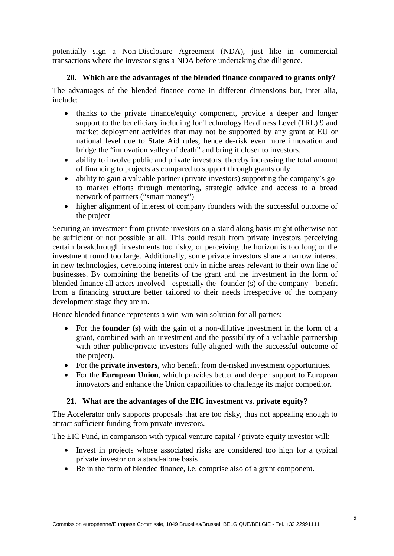potentially sign a Non-Disclosure Agreement (NDA), just like in commercial transactions where the investor signs a NDA before undertaking due diligence.

# **20. Which are the advantages of the blended finance compared to grants only?**

The advantages of the blended finance come in different dimensions but, inter alia, include:

- thanks to the private finance/equity component, provide a deeper and longer support to the beneficiary including for Technology Readiness Level (TRL) 9 and market deployment activities that may not be supported by any grant at EU or national level due to State Aid rules, hence de-risk even more innovation and bridge the "innovation valley of death" and bring it closer to investors.
- ability to involve public and private investors, thereby increasing the total amount of financing to projects as compared to support through grants only
- ability to gain a valuable partner (private investors) supporting the company's goto market efforts through mentoring, strategic advice and access to a broad network of partners ("smart money")
- higher alignment of interest of company founders with the successful outcome of the project

Securing an investment from private investors on a stand along basis might otherwise not be sufficient or not possible at all. This could result from private investors perceiving certain breakthrough investments too risky, or perceiving the horizon is too long or the investment round too large. Additionally, some private investors share a narrow interest in new technologies, developing interest only in niche areas relevant to their own line of businesses. By combining the benefits of the grant and the investment in the form of blended finance all actors involved - especially the founder (s) of the company - benefit from a financing structure better tailored to their needs irrespective of the company development stage they are in.

Hence blended finance represents a win-win-win solution for all parties:

- For the **founder (s)** with the gain of a non-dilutive investment in the form of a grant, combined with an investment and the possibility of a valuable partnership with other public/private investors fully aligned with the successful outcome of the project).
- For the **private investors,** who benefit from de-risked investment opportunities.
- For the **European Union**, which provides better and deeper support to European innovators and enhance the Union capabilities to challenge its major competitor.

# **21. What are the advantages of the EIC investment vs. private equity?**

The Accelerator only supports proposals that are too risky, thus not appealing enough to attract sufficient funding from private investors.

The EIC Fund, in comparison with typical venture capital / private equity investor will:

- Invest in projects whose associated risks are considered too high for a typical private investor on a stand-alone basis
- Be in the form of blended finance, i.e. comprise also of a grant component.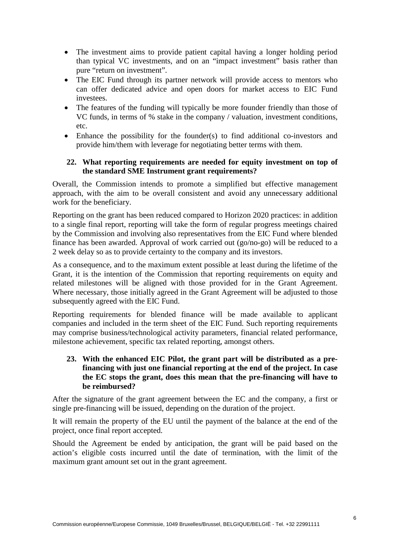- The investment aims to provide patient capital having a longer holding period than typical VC investments, and on an "impact investment" basis rather than pure "return on investment".
- The EIC Fund through its partner network will provide access to mentors who can offer dedicated advice and open doors for market access to EIC Fund investees.
- The features of the funding will typically be more founder friendly than those of VC funds, in terms of % stake in the company / valuation, investment conditions, etc.
- Enhance the possibility for the founder(s) to find additional co-investors and provide him/them with leverage for negotiating better terms with them.

#### **22. What reporting requirements are needed for equity investment on top of the standard SME Instrument grant requirements?**

Overall, the Commission intends to promote a simplified but effective management approach, with the aim to be overall consistent and avoid any unnecessary additional work for the beneficiary.

Reporting on the grant has been reduced compared to Horizon 2020 practices: in addition to a single final report, reporting will take the form of regular progress meetings chaired by the Commission and involving also representatives from the EIC Fund where blended finance has been awarded. Approval of work carried out (go/no-go) will be reduced to a 2 week delay so as to provide certainty to the company and its investors.

As a consequence, and to the maximum extent possible at least during the lifetime of the Grant, it is the intention of the Commission that reporting requirements on equity and related milestones will be aligned with those provided for in the Grant Agreement. Where necessary, those initially agreed in the Grant Agreement will be adjusted to those subsequently agreed with the EIC Fund.

Reporting requirements for blended finance will be made available to applicant companies and included in the term sheet of the EIC Fund. Such reporting requirements may comprise business/technological activity parameters, financial related performance, milestone achievement, specific tax related reporting, amongst others.

**23. With the enhanced EIC Pilot, the grant part will be distributed as a prefinancing with just one financial reporting at the end of the project. In case the EC stops the grant, does this mean that the pre-financing will have to be reimbursed?**

After the signature of the grant agreement between the EC and the company, a first or single pre-financing will be issued, depending on the duration of the project.

It will remain the property of the EU until the payment of the balance at the end of the project, once final report accepted.

Should the Agreement be ended by anticipation, the grant will be paid based on the action's eligible costs incurred until the date of termination, with the limit of the maximum grant amount set out in the grant agreement.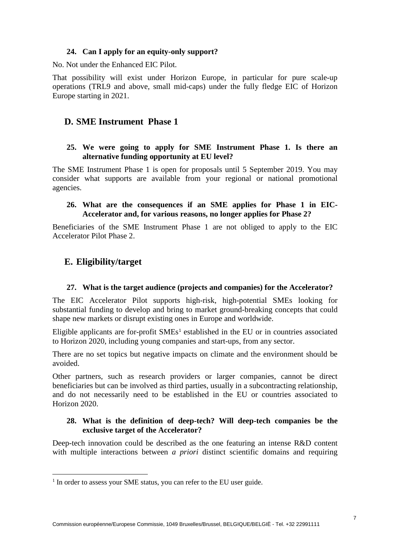## **24. Can I apply for an equity-only support?**

No. Not under the Enhanced EIC Pilot.

That possibility will exist under Horizon Europe, in particular for pure scale-up operations (TRL9 and above, small mid-caps) under the fully fledge EIC of Horizon Europe starting in 2021.

# <span id="page-8-0"></span>**D. SME Instrument Phase 1**

#### **25. We were going to apply for SME Instrument Phase 1. Is there an alternative funding opportunity at EU level?**

The SME Instrument Phase 1 is open for proposals until 5 September 2019. You may consider what supports are available from your regional or national promotional agencies.

#### **26. What are the consequences if an SME applies for Phase 1 in EIC-Accelerator and, for various reasons, no longer applies for Phase 2?**

Beneficiaries of the SME Instrument Phase 1 are not obliged to apply to the EIC Accelerator Pilot Phase 2.

# <span id="page-8-1"></span>**E. Eligibility/target**

#### **27. What is the target audience (projects and companies) for the Accelerator?**

The EIC Accelerator Pilot supports high-risk, high-potential SMEs looking for substantial funding to develop and bring to market ground-breaking concepts that could shape new markets or disrupt existing ones in Europe and worldwide.

Eligible applicants are for-profit  $SMEs<sup>1</sup>$  $SMEs<sup>1</sup>$  $SMEs<sup>1</sup>$  established in the EU or in countries associated to Horizon 2020, including young companies and start-ups, from any sector.

There are no set topics but negative impacts on climate and the environment should be avoided.

Other partners, such as research providers or larger companies, cannot be direct beneficiaries but can be involved as third parties, usually in a subcontracting relationship, and do not necessarily need to be established in the EU or countries associated to Horizon 2020.

#### **28. What is the definition of deep-tech? Will deep-tech companies be the exclusive target of the Accelerator?**

Deep-tech innovation could be described as the one featuring an intense R&D content with multiple interactions between *a priori* distinct scientific domains and requiring

<span id="page-8-2"></span><sup>&</sup>lt;sup>1</sup> In order to assess your SME status, you can refer to the [EU user guide.](http://ec.europa.eu/growth/tools-databases/newsroom/cf/itemdetail.cfm?item_id=8274&lang=en)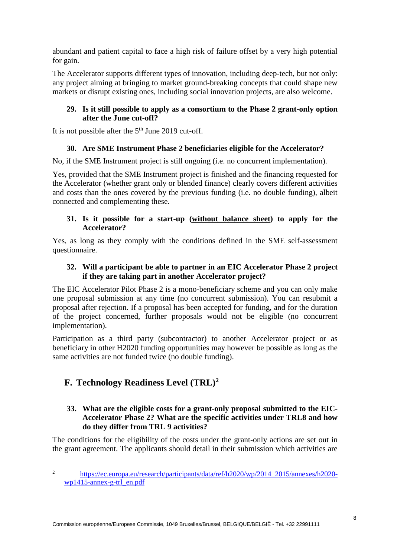abundant and patient capital to face a high risk of failure offset by a very high potential for gain.

The Accelerator supports different types of innovation, including deep-tech, but not only: any project aiming at bringing to market ground-breaking concepts that could shape new markets or disrupt existing ones, including social innovation projects, are also welcome.

# **29. Is it still possible to apply as a consortium to the Phase 2 grant-only option after the June cut-off?**

It is not possible after the  $5<sup>th</sup>$  June 2019 cut-off.

# **30. Are SME Instrument Phase 2 beneficiaries eligible for the Accelerator?**

No, if the SME Instrument project is still ongoing (i.e. no concurrent implementation).

Yes, provided that the SME Instrument project is finished and the financing requested for the Accelerator (whether grant only or blended finance) clearly covers different activities and costs than the ones covered by the previous funding (i.e. no double funding), albeit connected and complementing these.

# **31. Is it possible for a start-up (without balance sheet) to apply for the Accelerator?**

Yes, as long as they comply with the conditions defined in the SME self-assessment questionnaire.

# **32. Will a participant be able to partner in an EIC Accelerator Phase 2 project if they are taking part in another Accelerator project?**

The EIC Accelerator Pilot Phase 2 is a mono-beneficiary scheme and you can only make one proposal submission at any time (no concurrent submission). You can resubmit a proposal after rejection. If a proposal has been accepted for funding, and for the duration of the project concerned, further proposals would not be eligible (no concurrent implementation).

Participation as a third party (subcontractor) to another Accelerator project or as beneficiary in other H2020 funding opportunities may however be possible as long as the same activities are not funded twice (no double funding).

# <span id="page-9-0"></span>**F. Technology Readiness Level (TRL)[2](#page-9-1)**

# **33. What are the eligible costs for a grant-only proposal submitted to the EIC-Accelerator Phase 2? What are the specific activities under TRL8 and how do they differ from TRL 9 activities?**

The conditions for the eligibility of the costs under the grant-only actions are set out in the grant agreement. The applicants should detail in their submission which activities are

<span id="page-9-1"></span><sup>&</sup>lt;sup>2</sup> [https://ec.europa.eu/research/participants/data/ref/h2020/wp/2014\\_2015/annexes/h2020](https://ec.europa.eu/research/participants/data/ref/h2020/wp/2014_2015/annexes/h2020-wp1415-annex-g-trl_en.pdf) [wp1415-annex-g-trl\\_en.pdf](https://ec.europa.eu/research/participants/data/ref/h2020/wp/2014_2015/annexes/h2020-wp1415-annex-g-trl_en.pdf)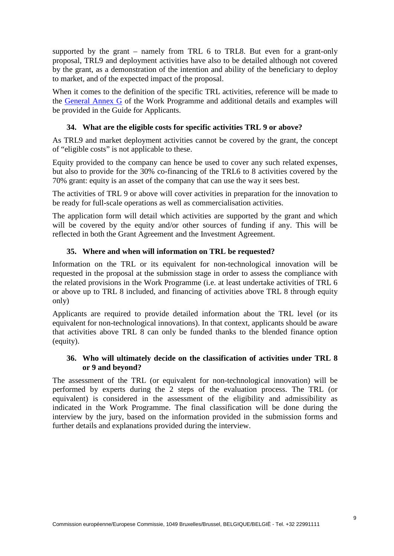supported by the grant – namely from TRL 6 to TRL8. But even for a grant-only proposal, TRL9 and deployment activities have also to be detailed although not covered by the grant, as a demonstration of the intention and ability of the beneficiary to deploy to market, and of the expected impact of the proposal.

When it comes to the definition of the specific TRL activities, reference will be made to the [General Annex G](https://ec.europa.eu/research/participants/data/ref/h2020/wp/2014_2015/annexes/h2020-wp1415-annex-g-trl_en.pdf) of the Work Programme and additional details and examples will be provided in the Guide for Applicants.

## <span id="page-10-0"></span>**34. What are the eligible costs for specific activities TRL 9 or above?**

As TRL9 and market deployment activities cannot be covered by the grant, the concept of "eligible costs" is not applicable to these.

Equity provided to the company can hence be used to cover any such related expenses, but also to provide for the 30% co-financing of the TRL6 to 8 activities covered by the 70% grant: equity is an asset of the company that can use the way it sees best.

The activities of TRL 9 or above will cover activities in preparation for the innovation to be ready for full-scale operations as well as commercialisation activities.

The application form will detail which activities are supported by the grant and which will be covered by the equity and/or other sources of funding if any. This will be reflected in both the Grant Agreement and the Investment Agreement.

#### **35. Where and when will information on TRL be requested?**

Information on the TRL or its equivalent for non-technological innovation will be requested in the proposal at the submission stage in order to assess the compliance with the related provisions in the Work Programme (i.e. at least undertake activities of TRL 6 or above up to TRL 8 included, and financing of activities above TRL 8 through equity only)

Applicants are required to provide detailed information about the TRL level (or its equivalent for non-technological innovations). In that context, applicants should be aware that activities above TRL 8 can only be funded thanks to the blended finance option (equity).

#### **36. Who will ultimately decide on the classification of activities under TRL 8 or 9 and beyond?**

The assessment of the TRL (or equivalent for non-technological innovation) will be performed by experts during the 2 steps of the evaluation process. The TRL (or equivalent) is considered in the assessment of the eligibility and admissibility as indicated in the Work Programme. The final classification will be done during the interview by the jury, based on the information provided in the submission forms and further details and explanations provided during the interview.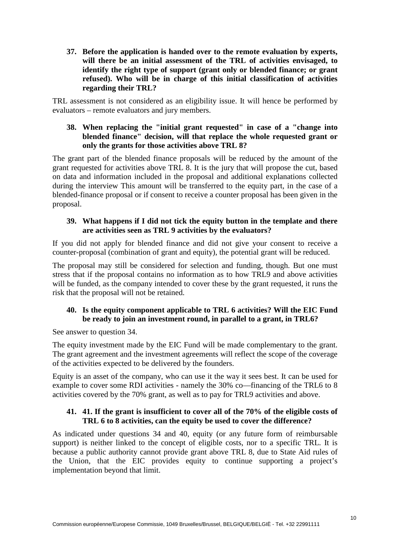**37. Before the application is handed over to the remote evaluation by experts, will there be an initial assessment of the TRL of activities envisaged, to identify the right type of support (grant only or blended finance; or grant refused). Who will be in charge of this initial classification of activities regarding their TRL?**

TRL assessment is not considered as an eligibility issue. It will hence be performed by evaluators – remote evaluators and jury members.

## **38. When replacing the "initial grant requested" in case of a "change into blended finance" decision, will that replace the whole requested grant or only the grants for those activities above TRL 8?**

The grant part of the blended finance proposals will be reduced by the amount of the grant requested for activities above TRL 8. It is the jury that will propose the cut, based on data and information included in the proposal and additional explanations collected during the interview This amount will be transferred to the equity part, in the case of a blended-finance proposal or if consent to receive a counter proposal has been given in the proposal.

#### **39. What happens if I did not tick the equity button in the template and there are activities seen as TRL 9 activities by the evaluators?**

If you did not apply for blended finance and did not give your consent to receive a counter-proposal (combination of grant and equity), the potential grant will be reduced.

The proposal may still be considered for selection and funding, though. But one must stress that if the proposal contains no information as to how TRL9 and above activities will be funded, as the company intended to cover these by the grant requested, it runs the risk that the proposal will not be retained.

# **40. Is the equity component applicable to TRL 6 activities? Will the EIC Fund be ready to join an investment round, in parallel to a grant, in TRL6?**

See answer to question [34.](#page-10-0)

The equity investment made by the EIC Fund will be made complementary to the grant. The grant agreement and the investment agreements will reflect the scope of the coverage of the activities expected to be delivered by the founders.

Equity is an asset of the company, who can use it the way it sees best. It can be used for example to cover some RDI activities - namely the 30% co—financing of the TRL6 to 8 activities covered by the 70% grant, as well as to pay for TRL9 activities and above.

# **41. 41. If the grant is insufficient to cover all of the 70% of the eligible costs of TRL 6 to 8 activities, can the equity be used to cover the difference?**

As indicated under questions 34 and 40, equity (or any future form of reimbursable support) is neither linked to the concept of eligible costs, nor to a specific TRL. It is because a public authority cannot provide grant above TRL 8, due to State Aid rules of the Union, that the EIC provides equity to continue supporting a project's implementation beyond that limit.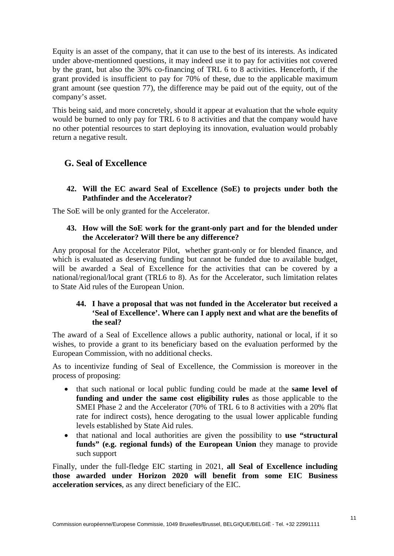Equity is an asset of the company, that it can use to the best of its interests. As indicated under above-mentionned questions, it may indeed use it to pay for activities not covered by the grant, but also the 30% co-financing of TRL 6 to 8 activities. Henceforth, if the grant provided is insufficient to pay for 70% of these, due to the applicable maximum grant amount (see question 77), the difference may be paid out of the equity, out of the company's asset.

This being said, and more concretely, should it appear at evaluation that the whole equity would be burned to only pay for TRL 6 to 8 activities and that the company would have no other potential resources to start deploying its innovation, evaluation would probably return a negative result.

# <span id="page-12-0"></span>**G. Seal of Excellence**

**42. Will the EC award Seal of Excellence (SoE) to projects under both the Pathfinder and the Accelerator?**

The SoE will be only granted for the Accelerator.

#### **43. How will the SoE work for the grant-only part and for the blended under the Accelerator? Will there be any difference?**

Any proposal for the Accelerator Pilot, whether grant-only or for blended finance, and which is evaluated as deserving funding but cannot be funded due to available budget, will be awarded a Seal of Excellence for the activities that can be covered by a national/regional/local grant (TRL6 to 8). As for the Accelerator, such limitation relates to State Aid rules of the European Union.

## **44. I have a proposal that was not funded in the Accelerator but received a 'Seal of Excellence'. Where can I apply next and what are the benefits of the seal?**

The award of a Seal of Excellence allows a public authority, national or local, if it so wishes, to provide a grant to its beneficiary based on the evaluation performed by the European Commission, with no additional checks.

As to incentivize funding of Seal of Excellence, the Commission is moreover in the process of proposing:

- that such national or local public funding could be made at the **same level of funding and under the same cost eligibility rules** as those applicable to the SMEI Phase 2 and the Accelerator (70% of TRL 6 to 8 activities with a 20% flat rate for indirect costs), hence derogating to the usual lower applicable funding levels established by State Aid rules.
- that national and local authorities are given the possibility to **use "structural funds" (e.g. regional funds) of the European Union** they manage to provide such support

Finally, under the full-fledge EIC starting in 2021, **all Seal of Excellence including those awarded under Horizon 2020 will benefit from some EIC Business acceleration services**, as any direct beneficiary of the EIC.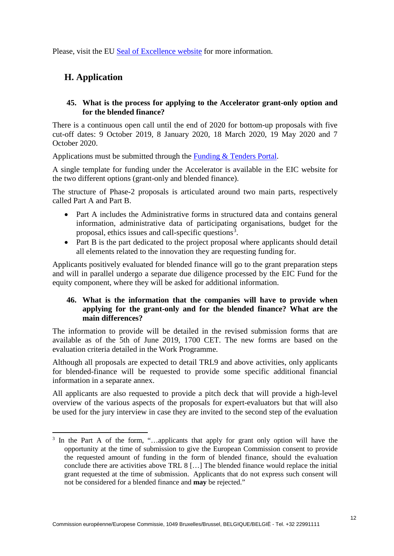<span id="page-13-0"></span>Please, visit the EU [Seal of Excellence website](https://ec.europa.eu/info/research-and-innovation/funding/funding-opportunities/seal-excellence_en) for more information.

# **H. Application**

# **45. What is the process for applying to the Accelerator grant-only option and for the blended finance?**

There is a continuous open call until the end of 2020 for bottom-up proposals with five cut-off dates: 9 October 2019, 8 January 2020, 18 March 2020, 19 May 2020 and 7 October 2020.

Applications must be submitted through the [Funding & Tenders Portal.](https://ec.europa.eu/info/funding-tenders/opportunities/portal/screen/home)

A single template for funding under the Accelerator is available in the EIC website for the two different options (grant-only and blended finance).

The structure of Phase-2 proposals is articulated around two main parts, respectively called Part A and Part B.

- Part A includes the Administrative forms in structured data and contains general information, administrative data of participating organisations, budget for the proposal, ethics issues and call-specific questions<sup>[3](#page-13-1)</sup>.
- Part B is the part dedicated to the project proposal where applicants should detail all elements related to the innovation they are requesting funding for.

Applicants positively evaluated for blended finance will go to the grant preparation steps and will in parallel undergo a separate due diligence processed by the EIC Fund for the equity component, where they will be asked for additional information.

## **46. What is the information that the companies will have to provide when applying for the grant-only and for the blended finance? What are the main differences?**

The information to provide will be detailed in the revised submission forms that are available as of the 5th of June 2019, 1700 CET. The new forms are based on the evaluation criteria detailed in the Work Programme.

Although all proposals are expected to detail TRL9 and above activities, only applicants for blended-finance will be requested to provide some specific additional financial information in a separate annex.

All applicants are also requested to provide a pitch deck that will provide a high-level overview of the various aspects of the proposals for expert-evaluators but that will also be used for the jury interview in case they are invited to the second step of the evaluation

<span id="page-13-1"></span><sup>&</sup>lt;sup>3</sup> In the Part A of the form, "...applicants that apply for grant only option will have the opportunity at the time of submission to give the European Commission consent to provide the requested amount of funding in the form of blended finance, should the evaluation conclude there are activities above TRL 8 […] The blended finance would replace the initial grant requested at the time of submission. Applicants that do not express such consent will not be considered for a blended finance and **may** be rejected."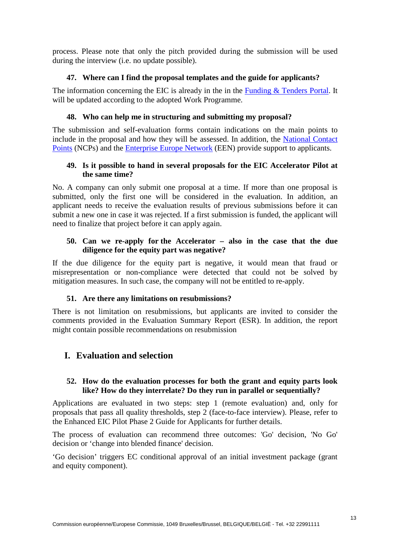process. Please note that only the pitch provided during the submission will be used during the interview (i.e. no update possible).

# **47. Where can I find the proposal templates and the guide for applicants?**

The information concerning the EIC is already in the in the [Funding & Tenders Portal.](https://ec.europa.eu/info/funding-tenders/opportunities/portal/screen/home) It will be updated according to the adopted Work Programme.

# **48. Who can help me in structuring and submitting my proposal?**

The submission and self-evaluation forms contain indications on the main points to include in the proposal and how they will be assessed. In addition, the [National Contact](https://ec.europa.eu/info/funding-tenders/opportunities/portal/screen/support/ncp)  [Points](https://ec.europa.eu/info/funding-tenders/opportunities/portal/screen/support/ncp) (NCPs) and the [Enterprise Europe Network](https://een.ec.europa.eu/) (EEN) provide support to applicants.

# **49. Is it possible to hand in several proposals for the EIC Accelerator Pilot at the same time?**

No. A company can only submit one proposal at a time. If more than one proposal is submitted, only the first one will be considered in the evaluation. In addition, an applicant needs to receive the evaluation results of previous submissions before it can submit a new one in case it was rejected. If a first submission is funded, the applicant will need to finalize that project before it can apply again.

## **50. Can we re-apply for the Accelerator – also in the case that the due diligence for the equity part was negative?**

If the due diligence for the equity part is negative, it would mean that fraud or misrepresentation or non-compliance were detected that could not be solved by mitigation measures. In such case, the company will not be entitled to re-apply.

# **51. Are there any limitations on resubmissions?**

There is not limitation on resubmissions, but applicants are invited to consider the comments provided in the Evaluation Summary Report (ESR). In addition, the report might contain possible recommendations on resubmission

# <span id="page-14-0"></span>**I. Evaluation and selection**

# <span id="page-14-1"></span>**52. How do the evaluation processes for both the grant and equity parts look like? How do they interrelate? Do they run in parallel or sequentially?**

Applications are evaluated in two steps: step 1 (remote evaluation) and, only for proposals that pass all quality thresholds, step 2 (face-to-face interview). Please, refer to the Enhanced EIC Pilot Phase 2 Guide for Applicants for further details.

The process of evaluation can recommend three outcomes: 'Go' decision, 'No Go' decision or 'change into blended finance' decision.

'Go decision' triggers EC conditional approval of an initial investment package (grant and equity component).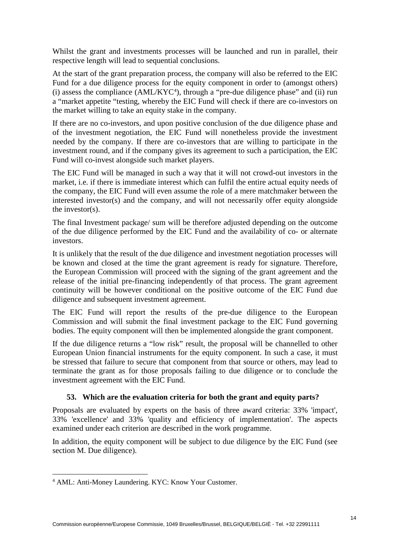Whilst the grant and investments processes will be launched and run in parallel, their respective length will lead to sequential conclusions.

At the start of the grant preparation process, the company will also be referred to the EIC Fund for a due diligence process for the equity component in order to (amongst others)  $(i)$  assess the compliance  $(AML/KYC<sup>4</sup>)$  $(AML/KYC<sup>4</sup>)$  $(AML/KYC<sup>4</sup>)$ , through a "pre-due diligence phase" and  $(ii)$  run a "market appetite "testing, whereby the EIC Fund will check if there are co-investors on the market willing to take an equity stake in the company.

If there are no co-investors, and upon positive conclusion of the due diligence phase and of the investment negotiation, the EIC Fund will nonetheless provide the investment needed by the company. If there are co-investors that are willing to participate in the investment round, and if the company gives its agreement to such a participation, the EIC Fund will co-invest alongside such market players.

The EIC Fund will be managed in such a way that it will not crowd-out investors in the market, i.e. if there is immediate interest which can fulfil the entire actual equity needs of the company, the EIC Fund will even assume the role of a mere matchmaker between the interested investor(s) and the company, and will not necessarily offer equity alongside the investor(s).

The final Investment package/ sum will be therefore adjusted depending on the outcome of the due diligence performed by the EIC Fund and the availability of co- or alternate investors.

It is unlikely that the result of the due diligence and investment negotiation processes will be known and closed at the time the grant agreement is ready for signature. Therefore, the European Commission will proceed with the signing of the grant agreement and the release of the initial pre-financing independently of that process. The grant agreement continuity will be however conditional on the positive outcome of the EIC Fund due diligence and subsequent investment agreement.

The EIC Fund will report the results of the pre-due diligence to the European Commission and will submit the final investment package to the EIC Fund governing bodies. The equity component will then be implemented alongside the grant component.

If the due diligence returns a "low risk" result, the proposal will be channelled to other European Union financial instruments for the equity component. In such a case, it must be stressed that failure to secure that component from that source or others, may lead to terminate the grant as for those proposals failing to due diligence or to conclude the investment agreement with the EIC Fund.

# **53. Which are the evaluation criteria for both the grant and equity parts?**

Proposals are evaluated by experts on the basis of three award criteria: 33% 'impact', 33% 'excellence' and 33% 'quality and efficiency of implementation'. The aspects examined under each criterion are described in the work programme.

In addition, the equity component will be subject to due diligence by the EIC Fund (see section [M. Due diligence\)](#page-24-0).

<span id="page-15-0"></span> <sup>4</sup> AML: Anti-Money Laundering. KYC: Know Your Customer.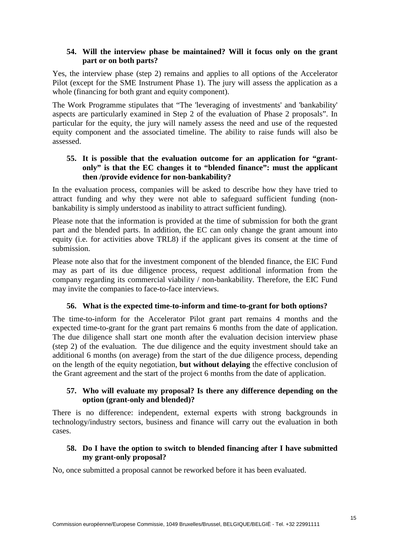# **54. Will the interview phase be maintained? Will it focus only on the grant part or on both parts?**

Yes, the interview phase (step 2) remains and applies to all options of the Accelerator Pilot (except for the SME Instrument Phase 1). The jury will assess the application as a whole (financing for both grant and equity component).

The Work Programme stipulates that "The 'leveraging of investments' and 'bankability' aspects are particularly examined in Step 2 of the evaluation of Phase 2 proposals". In particular for the equity, the jury will namely assess the need and use of the requested equity component and the associated timeline. The ability to raise funds will also be assessed.

## **55. It is possible that the evaluation outcome for an application for "grantonly" is that the EC changes it to "blended finance": must the applicant then /provide evidence for non-bankability?**

In the evaluation process, companies will be asked to describe how they have tried to attract funding and why they were not able to safeguard sufficient funding (nonbankability is simply understood as inability to attract sufficient funding).

Please note that the information is provided at the time of submission for both the grant part and the blended parts. In addition, the EC can only change the grant amount into equity (i.e. for activities above TRL8) if the applicant gives its consent at the time of submission.

Please note also that for the investment component of the blended finance, the EIC Fund may as part of its due diligence process, request additional information from the company regarding its commercial viability / non-bankability. Therefore, the EIC Fund may invite the companies to face-to-face interviews.

# **56. What is the expected time-to-inform and time-to-grant for both options?**

The time-to-inform for the Accelerator Pilot grant part remains 4 months and the expected time-to-grant for the grant part remains 6 months from the date of application. The due diligence shall start one month after the evaluation decision interview phase (step 2) of the evaluation. The due diligence and the equity investment should take an additional 6 months (on average) from the start of the due diligence process, depending on the length of the equity negotiation, **but without delaying** the effective conclusion of the Grant agreement and the start of the project 6 months from the date of application.

#### **57. Who will evaluate my proposal? Is there any difference depending on the option (grant-only and blended)?**

There is no difference: independent, external experts with strong backgrounds in technology/industry sectors, business and finance will carry out the evaluation in both cases.

# **58. Do I have the option to switch to blended financing after I have submitted my grant-only proposal?**

No, once submitted a proposal cannot be reworked before it has been evaluated.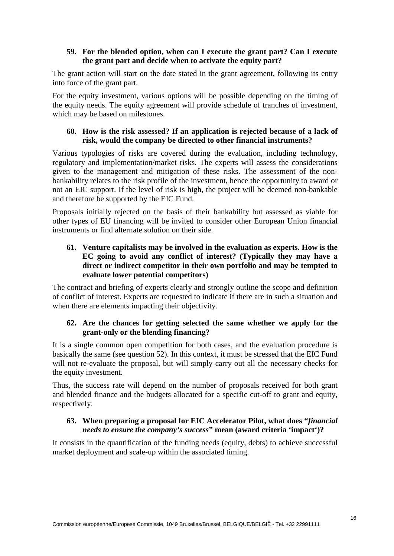# **59. For the blended option, when can I execute the grant part? Can I execute the grant part and decide when to activate the equity part?**

The grant action will start on the date stated in the grant agreement, following its entry into force of the grant part.

For the equity investment, various options will be possible depending on the timing of the equity needs. The equity agreement will provide schedule of tranches of investment, which may be based on milestones.

# **60. How is the risk assessed? If an application is rejected because of a lack of risk, would the company be directed to other financial instruments?**

Various typologies of risks are covered during the evaluation, including technology, regulatory and implementation/market risks. The experts will assess the considerations given to the management and mitigation of these risks. The assessment of the nonbankability relates to the risk profile of the investment, hence the opportunity to award or not an EIC support. If the level of risk is high, the project will be deemed non-bankable and therefore be supported by the EIC Fund.

Proposals initially rejected on the basis of their bankability but assessed as viable for other types of EU financing will be invited to consider other European Union financial instruments or find alternate solution on their side.

# **61. Venture capitalists may be involved in the evaluation as experts. How is the EC going to avoid any conflict of interest? (Typically they may have a direct or indirect competitor in their own portfolio and may be tempted to evaluate lower potential competitors)**

The contract and briefing of experts clearly and strongly outline the scope and definition of conflict of interest. Experts are requested to indicate if there are in such a situation and when there are elements impacting their objectivity.

# **62. Are the chances for getting selected the same whether we apply for the grant-only or the blending financing?**

It is a single common open competition for both cases, and the evaluation procedure is basically the same (see question [52\)](#page-14-1). In this context, it must be stressed that the EIC Fund will not re-evaluate the proposal, but will simply carry out all the necessary checks for the equity investment.

Thus, the success rate will depend on the number of proposals received for both grant and blended finance and the budgets allocated for a specific cut-off to grant and equity, respectively.

# **63. When preparing a proposal for EIC Accelerator Pilot, what does "***financial needs to ensure the company's success***" mean (award criteria 'impact')?**

It consists in the quantification of the funding needs (equity, debts) to achieve successful market deployment and scale-up within the associated timing.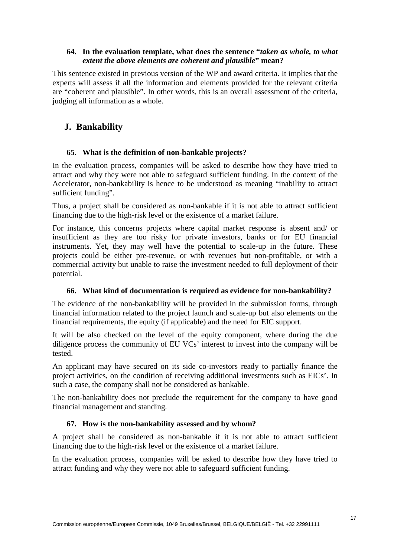# **64. In the evaluation template, what does the sentence "***taken as whole, to what extent the above elements are coherent and plausible***" mean?**

This sentence existed in previous version of the WP and award criteria. It implies that the experts will assess if all the information and elements provided for the relevant criteria are "coherent and plausible". In other words, this is an overall assessment of the criteria, judging all information as a whole.

# <span id="page-18-0"></span>**J. Bankability**

# **65. What is the definition of non-bankable projects?**

In the evaluation process, companies will be asked to describe how they have tried to attract and why they were not able to safeguard sufficient funding. In the context of the Accelerator, non-bankability is hence to be understood as meaning "inability to attract sufficient funding".

Thus, a project shall be considered as non-bankable if it is not able to attract sufficient financing due to the high-risk level or the existence of a market failure.

For instance, this concerns projects where capital market response is absent and/ or insufficient as they are too risky for private investors, banks or for EU financial instruments. Yet, they may well have the potential to scale-up in the future. These projects could be either pre-revenue, or with revenues but non-profitable, or with a commercial activity but unable to raise the investment needed to full deployment of their potential.

# **66. What kind of documentation is required as evidence for non-bankability?**

The evidence of the non-bankability will be provided in the submission forms, through financial information related to the project launch and scale-up but also elements on the financial requirements, the equity (if applicable) and the need for EIC support.

It will be also checked on the level of the equity component, where during the due diligence process the community of EU VCs' interest to invest into the company will be tested.

An applicant may have secured on its side co-investors ready to partially finance the project activities, on the condition of receiving additional investments such as EICs'. In such a case, the company shall not be considered as bankable.

The non-bankability does not preclude the requirement for the company to have good financial management and standing.

# **67. How is the non-bankability assessed and by whom?**

A project shall be considered as non-bankable if it is not able to attract sufficient financing due to the high-risk level or the existence of a market failure.

In the evaluation process, companies will be asked to describe how they have tried to attract funding and why they were not able to safeguard sufficient funding.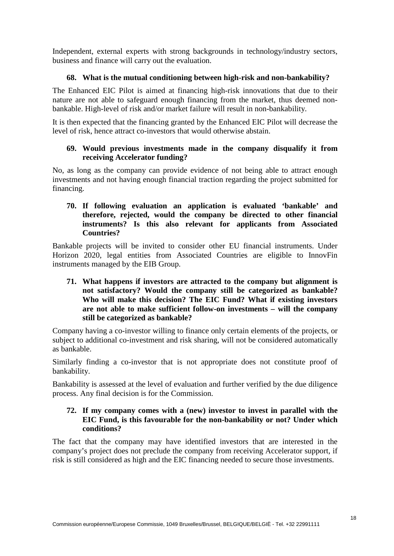Independent, external experts with strong backgrounds in technology/industry sectors, business and finance will carry out the evaluation.

# **68. What is the mutual conditioning between high-risk and non-bankability?**

The Enhanced EIC Pilot is aimed at financing high-risk innovations that due to their nature are not able to safeguard enough financing from the market, thus deemed nonbankable. High-level of risk and/or market failure will result in non-bankability.

It is then expected that the financing granted by the Enhanced EIC Pilot will decrease the level of risk, hence attract co-investors that would otherwise abstain.

# **69. Would previous investments made in the company disqualify it from receiving Accelerator funding?**

No, as long as the company can provide evidence of not being able to attract enough investments and not having enough financial traction regarding the project submitted for financing.

**70. If following evaluation an application is evaluated 'bankable' and therefore, rejected, would the company be directed to other financial instruments? Is this also relevant for applicants from Associated Countries?**

Bankable projects will be invited to consider other EU financial instruments. Under Horizon 2020, legal entities from Associated Countries are eligible to InnovFin instruments managed by the EIB Group.

**71. What happens if investors are attracted to the company but alignment is not satisfactory? Would the company still be categorized as bankable? Who will make this decision? The EIC Fund? What if existing investors are not able to make sufficient follow-on investments – will the company still be categorized as bankable?**

Company having a co-investor willing to finance only certain elements of the projects, or subject to additional co-investment and risk sharing, will not be considered automatically as bankable.

Similarly finding a co-investor that is not appropriate does not constitute proof of bankability.

Bankability is assessed at the level of evaluation and further verified by the due diligence process. Any final decision is for the Commission.

## **72. If my company comes with a (new) investor to invest in parallel with the EIC Fund, is this favourable for the non-bankability or not? Under which conditions?**

The fact that the company may have identified investors that are interested in the company's project does not preclude the company from receiving Accelerator support, if risk is still considered as high and the EIC financing needed to secure those investments.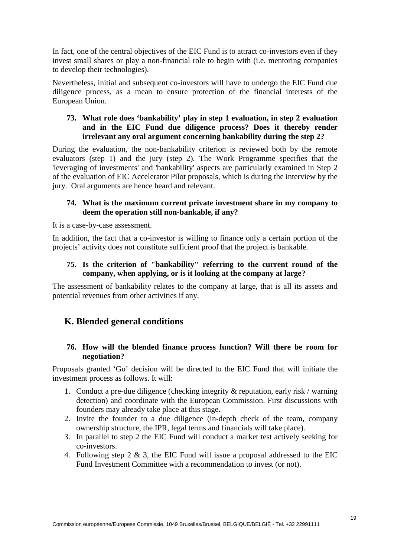In fact, one of the central objectives of the EIC Fund is to attract co-investors even if they invest small shares or play a non-financial role to begin with (i.e. mentoring companies to develop their technologies).

Nevertheless, initial and subsequent co-investors will have to undergo the EIC Fund due diligence process, as a mean to ensure protection of the financial interests of the European Union.

# **73. What role does 'bankability' play in step 1 evaluation, in step 2 evaluation and in the EIC Fund due diligence process? Does it thereby render irrelevant any oral argument concerning bankability during the step 2?**

During the evaluation, the non-bankability criterion is reviewed both by the remote evaluators (step 1) and the jury (step 2). The Work Programme specifies that the 'leveraging of investments' and 'bankability' aspects are particularly examined in Step 2 of the evaluation of EIC Accelerator Pilot proposals, which is during the interview by the jury. Oral arguments are hence heard and relevant.

# **74. What is the maximum current private investment share in my company to deem the operation still non-bankable, if any?**

It is a case-by-case assessment.

In addition, the fact that a co-investor is willing to finance only a certain portion of the projects' activity does not constitute sufficient proof that the project is bankable.

# **75. Is the criterion of "bankability" referring to the current round of the company, when applying, or is it looking at the company at large?**

The assessment of bankability relates to the company at large, that is all its assets and potential revenues from other activities if any.

# <span id="page-20-0"></span>**K. Blended general conditions**

#### **76. How will the blended finance process function? Will there be room for negotiation?**

Proposals granted 'Go' decision will be directed to the EIC Fund that will initiate the investment process as follows. It will:

- 1. Conduct a pre-due diligence (checking integrity & reputation, early risk / warning detection) and coordinate with the European Commission. First discussions with founders may already take place at this stage.
- 2. Invite the founder to a due diligence (in-depth check of the team, company ownership structure, the IPR, legal terms and financials will take place).
- 3. In parallel to step 2 the EIC Fund will conduct a market test actively seeking for co-investors.
- 4. Following step 2 & 3, the EIC Fund will issue a proposal addressed to the EIC Fund Investment Committee with a recommendation to invest (or not).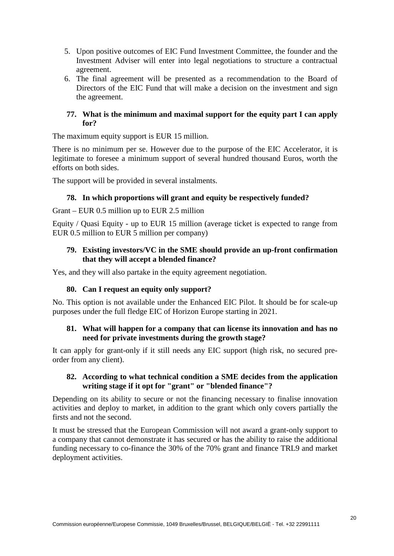- 5. Upon positive outcomes of EIC Fund Investment Committee, the founder and the Investment Adviser will enter into legal negotiations to structure a contractual agreement.
- 6. The final agreement will be presented as a recommendation to the Board of Directors of the EIC Fund that will make a decision on the investment and sign the agreement.

## **77. What is the minimum and maximal support for the equity part I can apply for?**

The maximum equity support is EUR 15 million.

There is no minimum per se. However due to the purpose of the EIC Accelerator, it is legitimate to foresee a minimum support of several hundred thousand Euros, worth the efforts on both sides.

The support will be provided in several instalments.

# **78. In which proportions will grant and equity be respectively funded?**

Grant – EUR 0.5 million up to EUR 2.5 million

Equity / Quasi Equity - up to EUR 15 million (average ticket is expected to range from EUR 0.5 million to EUR 5 million per company)

# **79. Existing investors/VC in the SME should provide an up-front confirmation that they will accept a blended finance?**

Yes, and they will also partake in the equity agreement negotiation.

# **80. Can I request an equity only support?**

No. This option is not available under the Enhanced EIC Pilot. It should be for scale-up purposes under the full fledge EIC of Horizon Europe starting in 2021.

# **81. What will happen for a company that can license its innovation and has no need for private investments during the growth stage?**

It can apply for grant-only if it still needs any EIC support (high risk, no secured preorder from any client).

# **82. According to what technical condition a SME decides from the application writing stage if it opt for "grant" or "blended finance"?**

Depending on its ability to secure or not the financing necessary to finalise innovation activities and deploy to market, in addition to the grant which only covers partially the firsts and not the second.

It must be stressed that the European Commission will not award a grant-only support to a company that cannot demonstrate it has secured or has the ability to raise the additional funding necessary to co-finance the 30% of the 70% grant and finance TRL9 and market deployment activities.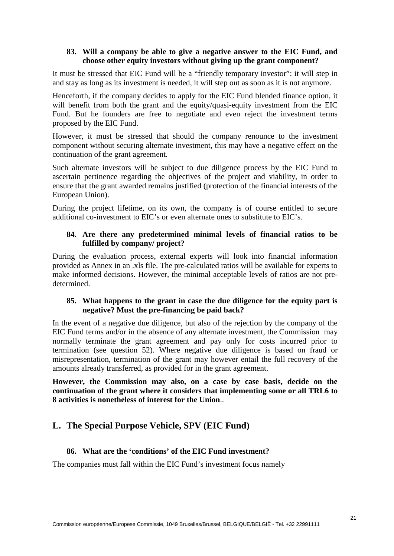## **83. Will a company be able to give a negative answer to the EIC Fund, and choose other equity investors without giving up the grant component?**

It must be stressed that EIC Fund will be a "friendly temporary investor": it will step in and stay as long as its investment is needed, it will step out as soon as it is not anymore.

Henceforth, if the company decides to apply for the EIC Fund blended finance option, it will benefit from both the grant and the equity/quasi-equity investment from the EIC Fund. But he founders are free to negotiate and even reject the investment terms proposed by the EIC Fund.

However, it must be stressed that should the company renounce to the investment component without securing alternate investment, this may have a negative effect on the continuation of the grant agreement.

Such alternate investors will be subject to due diligence process by the EIC Fund to ascertain pertinence regarding the objectives of the project and viability, in order to ensure that the grant awarded remains justified (protection of the financial interests of the European Union).

During the project lifetime, on its own, the company is of course entitled to secure additional co-investment to EIC's or even alternate ones to substitute to EIC's.

# **84. Are there any predetermined minimal levels of financial ratios to be fulfilled by company/ project?**

During the evaluation process, external experts will look into financial information provided as Annex in an .xls file. The pre-calculated ratios will be available for experts to make informed decisions. However, the minimal acceptable levels of ratios are not predetermined.

#### **85. What happens to the grant in case the due diligence for the equity part is negative? Must the pre-financing be paid back?**

In the event of a negative due diligence, but also of the rejection by the company of the EIC Fund terms and/or in the absence of any alternate investment, the Commission may normally terminate the grant agreement and pay only for costs incurred prior to termination (see question [52\)](#page-14-1). Where negative due diligence is based on fraud or misrepresentation, termination of the grant may however entail the full recovery of the amounts already transferred, as provided for in the grant agreement.

**However, the Commission may also, on a case by case basis, decide on the continuation of the grant where it considers that implementing some or all TRL6 to 8 activities is nonetheless of interest for the Union**..

# <span id="page-22-0"></span>**L. The Special Purpose Vehicle, SPV (EIC Fund)**

# **86. What are the 'conditions' of the EIC Fund investment?**

The companies must fall within the EIC Fund's investment focus namely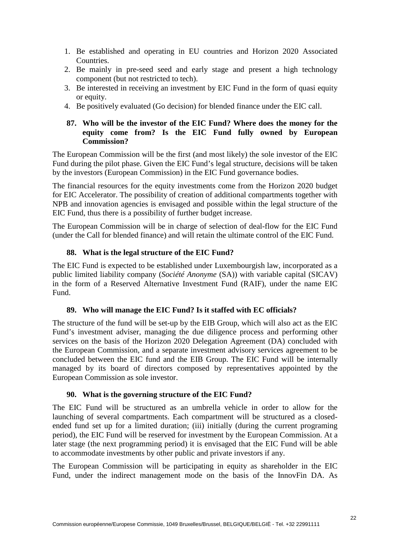- 1. Be established and operating in EU countries and Horizon 2020 Associated Countries.
- 2. Be mainly in pre-seed seed and early stage and present a high technology component (but not restricted to tech).
- 3. Be interested in receiving an investment by EIC Fund in the form of quasi equity or equity.
- 4. Be positively evaluated (Go decision) for blended finance under the EIC call.

## **87. Who will be the investor of the EIC Fund? Where does the money for the equity come from? Is the EIC Fund fully owned by European Commission?**

The European Commission will be the first (and most likely) the sole investor of the EIC Fund during the pilot phase. Given the EIC Fund's legal structure, decisions will be taken by the investors (European Commission) in the EIC Fund governance bodies.

The financial resources for the equity investments come from the Horizon 2020 budget for EIC Accelerator. The possibility of creation of additional compartments together with NPB and innovation agencies is envisaged and possible within the legal structure of the EIC Fund, thus there is a possibility of further budget increase.

The European Commission will be in charge of selection of deal-flow for the EIC Fund (under the Call for blended finance) and will retain the ultimate control of the EIC Fund.

#### **88. What is the legal structure of the EIC Fund?**

The EIC Fund is expected to be established under Luxembourgish law, incorporated as a public limited liability company (*Société Anonyme* (SA)) with variable capital (SICAV) in the form of a Reserved Alternative Investment Fund (RAIF), under the name EIC Fund.

#### **89. Who will manage the EIC Fund? Is it staffed with EC officials?**

The structure of the fund will be set-up by the EIB Group, which will also act as the EIC Fund's investment adviser, managing the due diligence process and performing other services on the basis of the Horizon 2020 Delegation Agreement (DA) concluded with the European Commission, and a separate investment advisory services agreement to be concluded between the EIC fund and the EIB Group. The EIC Fund will be internally managed by its board of directors composed by representatives appointed by the European Commission as sole investor.

#### **90. What is the governing structure of the EIC Fund?**

The EIC Fund will be structured as an umbrella vehicle in order to allow for the launching of several compartments. Each compartment will be structured as a closedended fund set up for a limited duration; (iii) initially (during the current programing period), the EIC Fund will be reserved for investment by the European Commission. At a later stage (the next programming period) it is envisaged that the EIC Fund will be able to accommodate investments by other public and private investors if any.

The European Commission will be participating in equity as shareholder in the EIC Fund, under the indirect management mode on the basis of the InnovFin DA. As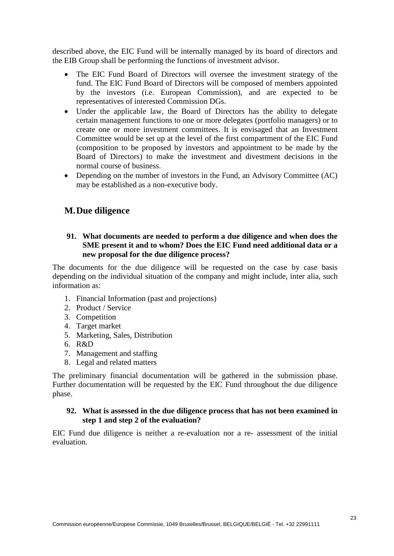described above, the EIC Fund will be internally managed by its board of directors and the EIB Group shall be performing the functions of investment advisor.

- The EIC Fund Board of Directors will oversee the investment strategy of the fund. The EIC Fund Board of Directors will be composed of members appointed by the investors (i.e. European Commission), and are expected to be representatives of interested Commission DGs.
- Under the applicable law, the Board of Directors has the ability to delegate certain management functions to one or more delegates (portfolio managers) or to create one or more investment committees. It is envisaged that an Investment Committee would be set up at the level of the first compartment of the EIC Fund (composition to be proposed by investors and appointment to be made by the Board of Directors) to make the investment and divestment decisions in the normal course of business.
- Depending on the number of investors in the Fund, an Advisory Committee (AC) may be established as a non-executive body.

# <span id="page-24-0"></span>**M.Due diligence**

## **91. What documents are needed to perform a due diligence and when does the SME present it and to whom? Does the EIC Fund need additional data or a new proposal for the due diligence process?**

The documents for the due diligence will be requested on the case by case basis depending on the individual situation of the company and might include, inter alia, such information as:

- 1. Financial Information (past and projections)
- 2. Product / Service
- 3. Competition
- 4. Target market
- 5. Marketing, Sales, Distribution
- 6. R&D
- 7. Management and staffing
- 8. Legal and related matters

The preliminary financial documentation will be gathered in the submission phase. Further documentation will be requested by the EIC Fund throughout the due diligence phase.

#### **92. What is assessed in the due diligence process that has not been examined in step 1 and step 2 of the evaluation?**

EIC Fund due diligence is neither a re-evaluation nor a re- assessment of the initial evaluation.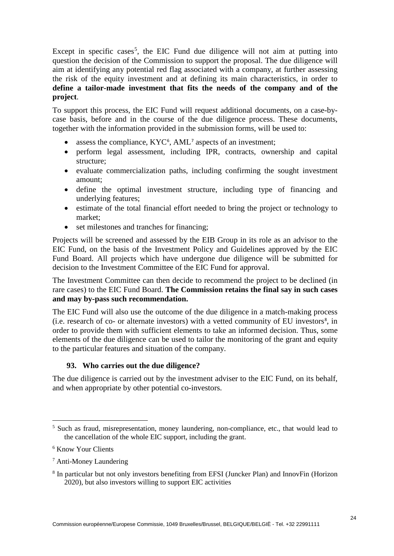Except in specific cases<sup>[5](#page-25-0)</sup>, the EIC Fund due diligence will not aim at putting into question the decision of the Commission to support the proposal. The due diligence will aim at identifying any potential red flag associated with a company, at further assessing the risk of the equity investment and at defining its main characteristics, in order to **define a tailor-made investment that fits the needs of the company and of the project**.

To support this process, the EIC Fund will request additional documents, on a case-bycase basis, before and in the course of the due diligence process. These documents, together with the information provided in the submission forms, will be used to:

- assess the compliance, KYC<sup>[6](#page-25-1)</sup>, AML<sup>[7](#page-25-2)</sup> aspects of an investment;
- perform legal assessment, including IPR, contracts, ownership and capital structure;
- evaluate commercialization paths, including confirming the sought investment amount;
- define the optimal investment structure, including type of financing and underlying features;
- estimate of the total financial effort needed to bring the project or technology to market;
- set milestones and tranches for financing;

Projects will be screened and assessed by the EIB Group in its role as an advisor to the EIC Fund, on the basis of the Investment Policy and Guidelines approved by the EIC Fund Board. All projects which have undergone due diligence will be submitted for decision to the Investment Committee of the EIC Fund for approval.

The Investment Committee can then decide to recommend the project to be declined (in rare cases) to the EIC Fund Board. **The Commission retains the final say in such cases and may by-pass such recommendation.**

The EIC Fund will also use the outcome of the due diligence in a match-making process  $(i.e. research of co- or alternate investors) with a vetted community of EU investors<sup>8</sup>, in$  $(i.e. research of co- or alternate investors) with a vetted community of EU investors<sup>8</sup>, in$  $(i.e. research of co- or alternate investors) with a vetted community of EU investors<sup>8</sup>, in$ order to provide them with sufficient elements to take an informed decision. Thus, some elements of the due diligence can be used to tailor the monitoring of the grant and equity to the particular features and situation of the company.

# **93. Who carries out the due diligence?**

The due diligence is carried out by the investment adviser to the EIC Fund, on its behalf, and when appropriate by other potential co-investors.

<span id="page-25-0"></span><sup>&</sup>lt;sup>5</sup> Such as fraud, misrepresentation, money laundering, non-compliance, etc., that would lead to the cancellation of the whole EIC support, including the grant.

<span id="page-25-1"></span><sup>6</sup> Know Your Clients

<span id="page-25-2"></span><sup>7</sup> Anti-Money Laundering

<span id="page-25-3"></span><sup>8</sup> In particular but not only investors benefiting from EFSI (Juncker Plan) and InnovFin (Horizon 2020), but also investors willing to support EIC activities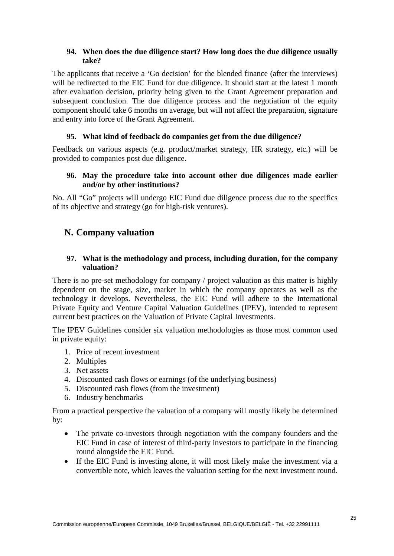#### **94. When does the due diligence start? How long does the due diligence usually take?**

The applicants that receive a 'Go decision' for the blended finance (after the interviews) will be redirected to the EIC Fund for due diligence. It should start at the latest 1 month after evaluation decision, priority being given to the Grant Agreement preparation and subsequent conclusion. The due diligence process and the negotiation of the equity component should take 6 months on average, but will not affect the preparation, signature and entry into force of the Grant Agreement.

## **95. What kind of feedback do companies get from the due diligence?**

Feedback on various aspects (e.g. product/market strategy, HR strategy, etc.) will be provided to companies post due diligence.

#### **96. May the procedure take into account other due diligences made earlier and/or by other institutions?**

No. All "Go" projects will undergo EIC Fund due diligence process due to the specifics of its objective and strategy (go for high-risk ventures).

# <span id="page-26-0"></span>**N. Company valuation**

#### **97. What is the methodology and process, including duration, for the company valuation?**

There is no pre-set methodology for company / project valuation as this matter is highly dependent on the stage, size, market in which the company operates as well as the technology it develops. Nevertheless, the EIC Fund will adhere to the International Private Equity and Venture Capital Valuation Guidelines (IPEV), intended to represent current best practices on the Valuation of Private Capital Investments.

The IPEV Guidelines consider six valuation methodologies as those most common used in private equity:

- 1. Price of recent investment
- 2. Multiples
- 3. Net assets
- 4. Discounted cash flows or earnings (of the underlying business)
- 5. Discounted cash flows (from the investment)
- 6. Industry benchmarks

From a practical perspective the valuation of a company will mostly likely be determined by:

- The private co-investors through negotiation with the company founders and the EIC Fund in case of interest of third-party investors to participate in the financing round alongside the EIC Fund.
- If the EIC Fund is investing alone, it will most likely make the investment via a convertible note, which leaves the valuation setting for the next investment round.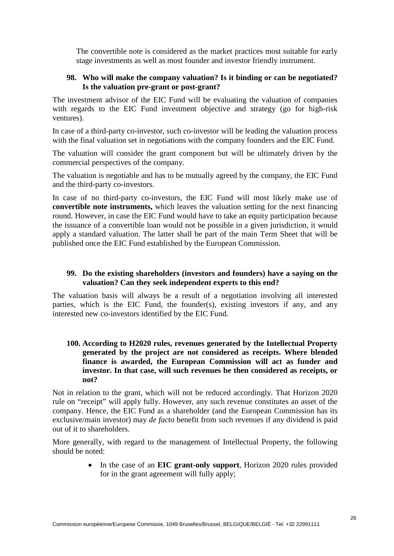The convertible note is considered as the market practices most suitable for early stage investments as well as most founder and investor friendly instrument.

#### **98. Who will make the company valuation? Is it binding or can be negotiated? Is the valuation pre-grant or post-grant?**

The investment advisor of the EIC Fund will be evaluating the valuation of companies with regards to the EIC Fund investment objective and strategy (go for high-risk ventures).

In case of a third-party co-investor, such co-investor will be leading the valuation process with the final valuation set in negotiations with the company founders and the EIC Fund.

The valuation will consider the grant component but will be ultimately driven by the commercial perspectives of the company.

The valuation is negotiable and has to be mutually agreed by the company, the EIC Fund and the third-party co-investors.

In case of no third-party co-investors, the EIC Fund will most likely make use of **convertible note instruments,** which leaves the valuation setting for the next financing round. However, in case the EIC Fund would have to take an equity participation because the issuance of a convertible loan would not be possible in a given jurisdiction, it would apply a standard valuation. The latter shall be part of the main Term Sheet that will be published once the EIC Fund established by the European Commission.

#### **99. Do the existing shareholders (investors and founders) have a saying on the valuation? Can they seek independent experts to this end?**

The valuation basis will always be a result of a negotiation involving all interested parties, which is the EIC Fund, the founder(s), existing investors if any, and any interested new co-investors identified by the EIC Fund.

## **100. According to H2020 rules, revenues generated by the Intellectual Property generated by the project are not considered as receipts. Where blended finance is awarded, the European Commission will act as funder and investor. In that case, will such revenues be then considered as receipts, or not?**

Not in relation to the grant, which will not be reduced accordingly. That Horizon 2020 rule on "receipt" will apply fully. However, any such revenue constitutes an asset of the company. Hence, the EIC Fund as a shareholder (and the European Commission has its exclusive/main investor) may *de facto* benefit from such revenues if any dividend is paid out of it to shareholders.

More generally, with regard to the management of Intellectual Property, the following should be noted:

> • In the case of an **EIC grant-only support**, Horizon 2020 rules provided for in the grant agreement will fully apply;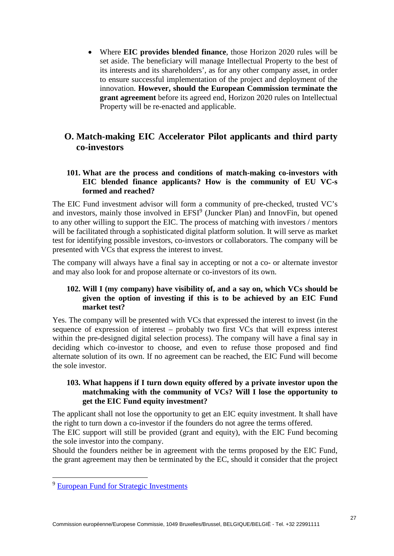• Where **EIC provides blended finance**, those Horizon 2020 rules will be set aside. The beneficiary will manage Intellectual Property to the best of its interests and its shareholders', as for any other company asset, in order to ensure successful implementation of the project and deployment of the innovation. **However, should the European Commission terminate the grant agreement** before its agreed end, Horizon 2020 rules on Intellectual Property will be re-enacted and applicable.

# <span id="page-28-0"></span>**O. Match-making EIC Accelerator Pilot applicants and third party co-investors**

# **101. What are the process and conditions of match-making co-investors with EIC blended finance applicants? How is the community of EU VC-s formed and reached?**

The EIC Fund investment advisor will form a community of pre-checked, trusted VC's and investors, mainly those involved in EFSI<sup>[9](#page-28-1)</sup> (Juncker Plan) and InnovFin, but opened to any other willing to support the EIC. The process of matching with investors / mentors will be facilitated through a sophisticated digital platform solution. It will serve as market test for identifying possible investors, co-investors or collaborators. The company will be presented with VCs that express the interest to invest.

The company will always have a final say in accepting or not a co- or alternate investor and may also look for and propose alternate or co-investors of its own.

# **102. Will I (my company) have visibility of, and a say on, which VCs should be given the option of investing if this is to be achieved by an EIC Fund market test?**

Yes. The company will be presented with VCs that expressed the interest to invest (in the sequence of expression of interest – probably two first VCs that will express interest within the pre-designed digital selection process). The company will have a final say in deciding which co-investor to choose, and even to refuse those proposed and find alternate solution of its own. If no agreement can be reached, the EIC Fund will become the sole investor.

#### <span id="page-28-2"></span>**103. What happens if I turn down equity offered by a private investor upon the matchmaking with the community of VCs? Will I lose the opportunity to get the EIC Fund equity investment?**

The applicant shall not lose the opportunity to get an EIC equity investment. It shall have the right to turn down a co-investor if the founders do not agree the terms offered.

The EIC support will still be provided (grant and equity), with the EIC Fund becoming the sole investor into the company.

Should the founders neither be in agreement with the terms proposed by the EIC Fund, the grant agreement may then be terminated by the EC, should it consider that the project

<span id="page-28-1"></span><sup>&</sup>lt;sup>9</sup> [European Fund for Strategic Investments](https://www.eib.org/en/efsi/index.htm)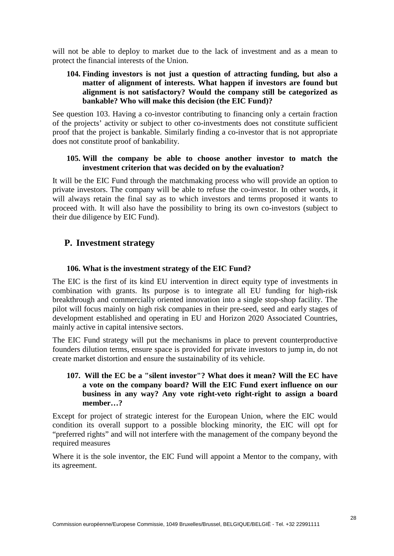will not be able to deploy to market due to the lack of investment and as a mean to protect the financial interests of the Union.

#### **104. Finding investors is not just a question of attracting funding, but also a matter of alignment of interests. What happen if investors are found but alignment is not satisfactory? Would the company still be categorized as bankable? Who will make this decision (the EIC Fund)?**

See question [103.](#page-28-2) Having a co-investor contributing to financing only a certain fraction of the projects' activity or subject to other co-investments does not constitute sufficient proof that the project is bankable. Similarly finding a co-investor that is not appropriate does not constitute proof of bankability.

#### **105. Will the company be able to choose another investor to match the investment criterion that was decided on by the evaluation?**

It will be the EIC Fund through the matchmaking process who will provide an option to private investors. The company will be able to refuse the co-investor. In other words, it will always retain the final say as to which investors and terms proposed it wants to proceed with. It will also have the possibility to bring its own co-investors (subject to their due diligence by EIC Fund).

# <span id="page-29-0"></span>**P. Investment strategy**

#### **106. What is the investment strategy of the EIC Fund?**

The EIC is the first of its kind EU intervention in direct equity type of investments in combination with grants. Its purpose is to integrate all EU funding for high-risk breakthrough and commercially oriented innovation into a single stop-shop facility. The pilot will focus mainly on high risk companies in their pre-seed, seed and early stages of development established and operating in EU and Horizon 2020 Associated Countries, mainly active in capital intensive sectors.

The EIC Fund strategy will put the mechanisms in place to prevent counterproductive founders dilution terms, ensure space is provided for private investors to jump in, do not create market distortion and ensure the sustainability of its vehicle.

## **107. Will the EC be a "silent investor"? What does it mean? Will the EC have a vote on the company board? Will the EIC Fund exert influence on our business in any way? Any vote right-veto right-right to assign a board member…?**

Except for project of strategic interest for the European Union, where the EIC would condition its overall support to a possible blocking minority, the EIC will opt for "preferred rights" and will not interfere with the management of the company beyond the required measures

Where it is the sole inventor, the EIC Fund will appoint a Mentor to the company, with its agreement.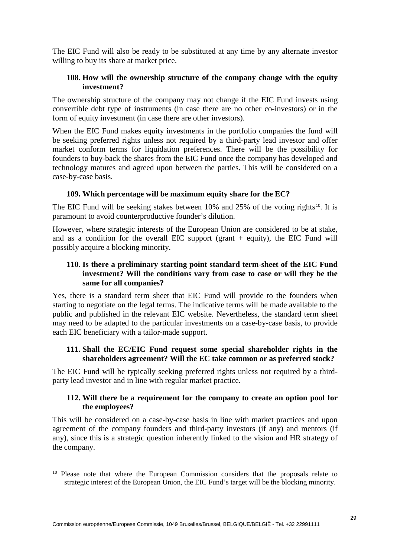The EIC Fund will also be ready to be substituted at any time by any alternate investor willing to buy its share at market price.

# **108. How will the ownership structure of the company change with the equity investment?**

The ownership structure of the company may not change if the EIC Fund invests using convertible debt type of instruments (in case there are no other co-investors) or in the form of equity investment (in case there are other investors).

When the EIC Fund makes equity investments in the portfolio companies the fund will be seeking preferred rights unless not required by a third-party lead investor and offer market conform terms for liquidation preferences. There will be the possibility for founders to buy-back the shares from the EIC Fund once the company has developed and technology matures and agreed upon between the parties. This will be considered on a case-by-case basis.

#### **109. Which percentage will be maximum equity share for the EC?**

The EIC Fund will be seeking stakes between  $10\%$  $10\%$  and  $25\%$  of the voting rights<sup>10</sup>. It is paramount to avoid counterproductive founder's dilution.

However, where strategic interests of the European Union are considered to be at stake, and as a condition for the overall EIC support (grant  $+$  equity), the EIC Fund will possibly acquire a blocking minority.

## **110. [Is there a preliminary starting point standard term-sheet of the EIC Fund](https://blog.ycombinator.com/a-standard-and-clean-series-a-term-sheet/) [investment?](https://blog.ycombinator.com/a-standard-and-clean-series-a-term-sheet/) Will the conditions vary from case to case or will they be the same for all companies?**

Yes, there is a standard term sheet that EIC Fund will provide to the founders when starting to negotiate on the legal terms. The indicative terms will be made available to the public and published in the relevant EIC website. Nevertheless, the standard term sheet may need to be adapted to the particular investments on a case-by-case basis, to provide each EIC beneficiary with a tailor-made support.

#### **111. Shall the EC/EIC Fund request some special shareholder rights in the shareholders agreement? Will the EC take common or as preferred stock?**

The EIC Fund will be typically seeking preferred rights unless not required by a thirdparty lead investor and in line with regular market practice.

#### **112. Will there be a requirement for the company to create an option pool for the employees?**

This will be considered on a case-by-case basis in line with market practices and upon agreement of the company founders and third-party investors (if any) and mentors (if any), since this is a strategic question inherently linked to the vision and HR strategy of the company.

<span id="page-30-0"></span><sup>&</sup>lt;sup>10</sup> Please note that where the European Commission considers that the proposals relate to strategic interest of the European Union, the EIC Fund's target will be the blocking minority.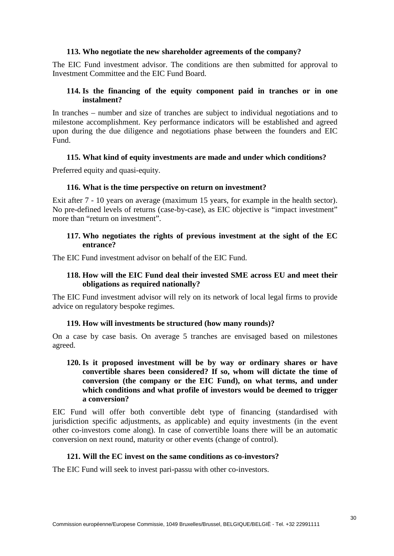#### **113. Who negotiate the new shareholder agreements of the company?**

The EIC Fund investment advisor. The conditions are then submitted for approval to Investment Committee and the EIC Fund Board.

#### **114. Is the financing of the equity component paid in tranches or in one instalment?**

In tranches – number and size of tranches are subject to individual negotiations and to milestone accomplishment. Key performance indicators will be established and agreed upon during the due diligence and negotiations phase between the founders and EIC Fund.

#### **115. What kind of equity investments are made and under which conditions?**

Preferred equity and quasi-equity.

#### **116. What is the time perspective on return on investment?**

Exit after 7 - 10 years on average (maximum 15 years, for example in the health sector). No pre-defined levels of returns (case-by-case), as EIC objective is "impact investment" more than "return on investment".

#### **117. Who negotiates the rights of previous investment at the sight of the EC entrance?**

The EIC Fund investment advisor on behalf of the EIC Fund.

#### **118. How will the EIC Fund deal their invested SME across EU and meet their obligations as required nationally?**

The EIC Fund investment advisor will rely on its network of local legal firms to provide advice on regulatory bespoke regimes.

#### **119. How will investments be structured (how many rounds)?**

On a case by case basis. On average 5 tranches are envisaged based on milestones agreed.

#### **120. Is it proposed investment will be by way or ordinary shares or have convertible shares been considered? If so, whom will dictate the time of conversion (the company or the EIC Fund), on what terms, and under which conditions and what profile of investors would be deemed to trigger a conversion?**

EIC Fund will offer both convertible debt type of financing (standardised with jurisdiction specific adjustments, as applicable) and equity investments (in the event other co-investors come along). In case of convertible loans there will be an automatic conversion on next round, maturity or other events (change of control).

#### **121. Will the EC invest on the same conditions as co-investors?**

The EIC Fund will seek to invest pari-passu with other co-investors.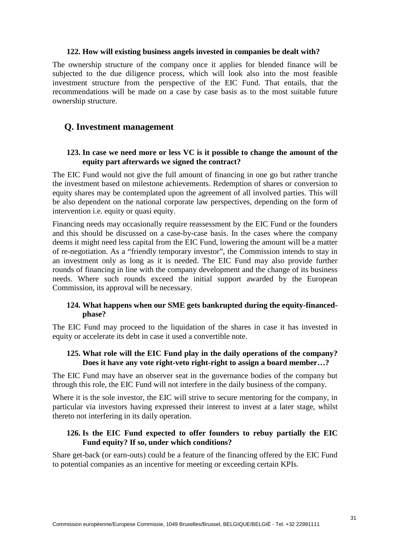#### **122. How will existing business angels invested in companies be dealt with?**

The ownership structure of the company once it applies for blended finance will be subjected to the due diligence process, which will look also into the most feasible investment structure from the perspective of the EIC Fund. That entails, that the recommendations will be made on a case by case basis as to the most suitable future ownership structure.

# <span id="page-32-0"></span>**Q. Investment management**

#### **123. In case we need more or less VC is it possible to change the amount of the equity part afterwards we signed the contract?**

The EIC Fund would not give the full amount of financing in one go but rather tranche the investment based on milestone achievements. Redemption of shares or conversion to equity shares may be contemplated upon the agreement of all involved parties. This will be also dependent on the national corporate law perspectives, depending on the form of intervention i.e. equity or quasi equity.

Financing needs may occasionally require reassessment by the EIC Fund or the founders and this should be discussed on a case-by-case basis. In the cases where the company deems it might need less capital from the EIC Fund, lowering the amount will be a matter of re-negotiation. As a "friendly temporary investor", the Commission intends to stay in an investment only as long as it is needed. The EIC Fund may also provide further rounds of financing in line with the company development and the change of its business needs. Where such rounds exceed the initial support awarded by the European Commission, its approval will be necessary.

#### **124. What happens when our SME gets bankrupted during the equity-financedphase?**

The EIC Fund may proceed to the liquidation of the shares in case it has invested in equity or accelerate its debt in case it used a convertible note.

#### **125. What role will the EIC Fund play in the daily operations of the company? Does it have any vote right-veto right-right to assign a board member…?**

The EIC Fund may have an observer seat in the governance bodies of the company but through this role, the EIC Fund will not interfere in the daily business of the company.

Where it is the sole investor, the EIC will strive to secure mentoring for the company, in particular via investors having expressed their interest to invest at a later stage, whilst thereto not interfering in its daily operation.

#### **126. Is the EIC Fund expected to offer founders to rebuy partially the EIC Fund equity? If so, under which conditions?**

Share get-back (or earn-outs) could be a feature of the financing offered by the EIC Fund to potential companies as an incentive for meeting or exceeding certain KPIs.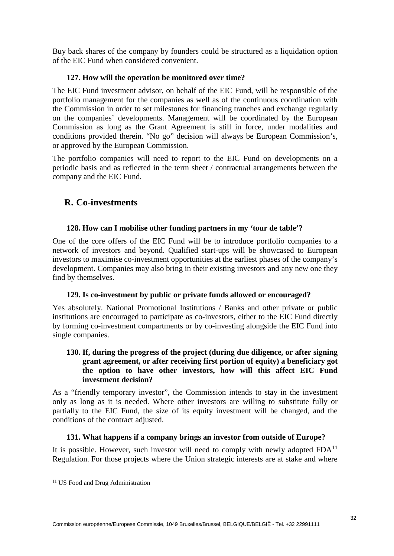Buy back shares of the company by founders could be structured as a liquidation option of the EIC Fund when considered convenient.

# **127. How will the operation be monitored over time?**

The EIC Fund investment advisor, on behalf of the EIC Fund, will be responsible of the portfolio management for the companies as well as of the continuous coordination with the Commission in order to set milestones for financing tranches and exchange regularly on the companies' developments. Management will be coordinated by the European Commission as long as the Grant Agreement is still in force, under modalities and conditions provided therein. "No go" decision will always be European Commission's, or approved by the European Commission.

The portfolio companies will need to report to the EIC Fund on developments on a periodic basis and as reflected in the term sheet / contractual arrangements between the company and the EIC Fund.

# <span id="page-33-0"></span>**R. Co-investments**

#### **128. How can I mobilise other funding partners in my 'tour de table'?**

One of the core offers of the EIC Fund will be to introduce portfolio companies to a network of investors and beyond. Qualified start-ups will be showcased to European investors to maximise co-investment opportunities at the earliest phases of the company's development. Companies may also bring in their existing investors and any new one they find by themselves.

#### **129. Is co-investment by public or private funds allowed or encouraged?**

Yes absolutely. National Promotional Institutions / Banks and other private or public institutions are encouraged to participate as co-investors, either to the EIC Fund directly by forming co-investment compartments or by co-investing alongside the EIC Fund into single companies.

#### **130. If, during the progress of the project (during due diligence, or after signing grant agreement, or after receiving first portion of equity) a beneficiary got the option to have other investors, how will this affect EIC Fund investment decision?**

As a "friendly temporary investor", the Commission intends to stay in the investment only as long as it is needed. Where other investors are willing to substitute fully or partially to the EIC Fund, the size of its equity investment will be changed, and the conditions of the contract adjusted.

#### **131. What happens if a company brings an investor from outside of Europe?**

It is possible. However, such investor will need to comply with newly adopted  $FDA<sup>11</sup>$  $FDA<sup>11</sup>$  $FDA<sup>11</sup>$ Regulation. For those projects where the Union strategic interests are at stake and where

<span id="page-33-1"></span><sup>&</sup>lt;sup>11</sup> US Food and Drug Administration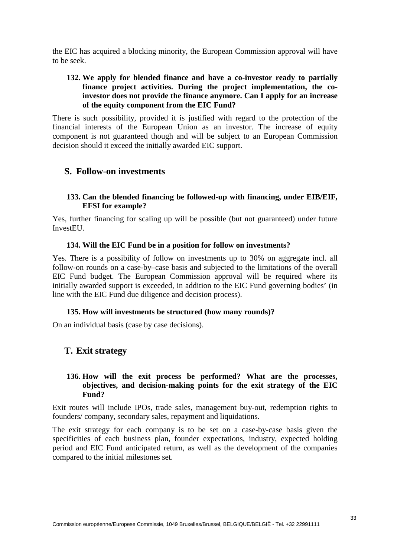the EIC has acquired a blocking minority, the European Commission approval will have to be seek.

## **132. We apply for blended finance and have a co-investor ready to partially finance project activities. During the project implementation, the coinvestor does not provide the finance anymore. Can I apply for an increase of the equity component from the EIC Fund?**

There is such possibility, provided it is justified with regard to the protection of the financial interests of the European Union as an investor. The increase of equity component is not guaranteed though and will be subject to an European Commission decision should it exceed the initially awarded EIC support.

# <span id="page-34-0"></span>**S. Follow-on investments**

#### **133. Can the blended financing be followed-up with financing, under EIB/EIF, EFSI for example?**

Yes, further financing for scaling up will be possible (but not guaranteed) under future InvestEU.

#### **134. Will the EIC Fund be in a position for follow on investments?**

Yes. There is a possibility of follow on investments up to 30% on aggregate incl. all follow-on rounds on a case-by–case basis and subjected to the limitations of the overall EIC Fund budget. The European Commission approval will be required where its initially awarded support is exceeded, in addition to the EIC Fund governing bodies' (in line with the EIC Fund due diligence and decision process).

#### **135. How will investments be structured (how many rounds)?**

<span id="page-34-1"></span>On an individual basis (case by case decisions).

# **T. Exit strategy**

#### **136. How will the exit process be performed? What are the processes, objectives, and decision-making points for the exit strategy of the EIC Fund?**

Exit routes will include IPOs, trade sales, management buy-out, redemption rights to founders/ company, secondary sales, repayment and liquidations.

The exit strategy for each company is to be set on a case-by-case basis given the specificities of each business plan, founder expectations, industry, expected holding period and EIC Fund anticipated return, as well as the development of the companies compared to the initial milestones set.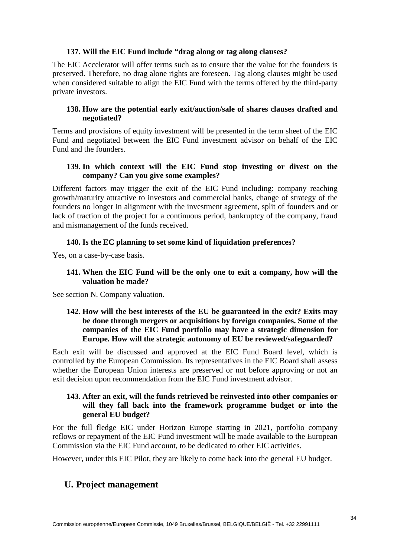#### **137. Will the EIC Fund include "drag along or tag along clauses?**

The EIC Accelerator will offer terms such as to ensure that the value for the founders is preserved. Therefore, no drag alone rights are foreseen. Tag along clauses might be used when considered suitable to align the EIC Fund with the terms offered by the third-party private investors.

#### **138. How are the potential early exit/auction/sale of shares clauses drafted and negotiated?**

Terms and provisions of equity investment will be presented in the term sheet of the EIC Fund and negotiated between the EIC Fund investment advisor on behalf of the EIC Fund and the founders.

#### **139. In which context will the EIC Fund stop investing or divest on the company? Can you give some examples?**

Different factors may trigger the exit of the EIC Fund including: company reaching growth/maturity attractive to investors and commercial banks, change of strategy of the founders no longer in alignment with the investment agreement, split of founders and or lack of traction of the project for a continuous period, bankruptcy of the company, fraud and mismanagement of the funds received.

#### **140. Is the EC planning to set some kind of liquidation preferences?**

Yes, on a case-by-case basis.

#### **141. When the EIC Fund will be the only one to exit a company, how will the valuation be made?**

See section [N. Company valuation.](#page-26-0)

## **142. How will the best interests of the EU be guaranteed in the exit? Exits may be done through mergers or acquisitions by foreign companies. Some of the companies of the EIC Fund portfolio may have a strategic dimension for Europe. How will the strategic autonomy of EU be reviewed/safeguarded?**

Each exit will be discussed and approved at the EIC Fund Board level, which is controlled by the European Commission. Its representatives in the EIC Board shall assess whether the European Union interests are preserved or not before approving or not an exit decision upon recommendation from the EIC Fund investment advisor.

## **143. After an exit, will the funds retrieved be reinvested into other companies or will they fall back into the framework programme budget or into the general EU budget?**

For the full fledge EIC under Horizon Europe starting in 2021, portfolio company reflows or repayment of the EIC Fund investment will be made available to the European Commission via the EIC Fund account, to be dedicated to other EIC activities.

<span id="page-35-0"></span>However, under this EIC Pilot, they are likely to come back into the general EU budget.

# **U. Project management**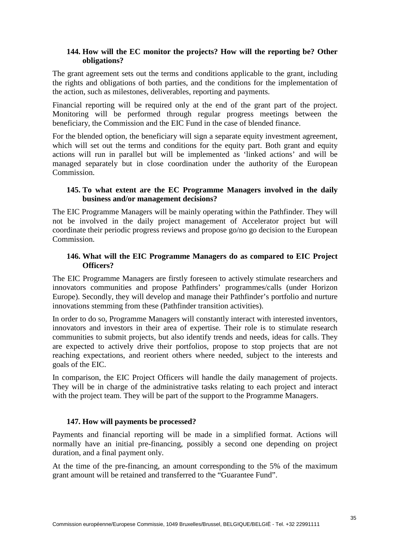# **144. How will the EC monitor the projects? How will the reporting be? Other obligations?**

The grant agreement sets out the terms and conditions applicable to the grant, including the rights and obligations of both parties, and the conditions for the implementation of the action, such as milestones, deliverables, reporting and payments.

Financial reporting will be required only at the end of the grant part of the project. Monitoring will be performed through regular progress meetings between the beneficiary, the Commission and the EIC Fund in the case of blended finance.

For the blended option, the beneficiary will sign a separate equity investment agreement, which will set out the terms and conditions for the equity part. Both grant and equity actions will run in parallel but will be implemented as 'linked actions' and will be managed separately but in close coordination under the authority of the European Commission.

#### **145. To what extent are the EC Programme Managers involved in the daily business and/or management decisions?**

The EIC Programme Managers will be mainly operating within the Pathfinder. They will not be involved in the daily project management of Accelerator project but will coordinate their periodic progress reviews and propose go/no go decision to the European Commission.

# **146. What will the EIC Programme Managers do as compared to EIC Project Officers?**

The EIC Programme Managers are firstly foreseen to actively stimulate researchers and innovators communities and propose Pathfinders' programmes/calls (under Horizon Europe). Secondly, they will develop and manage their Pathfinder's portfolio and nurture innovations stemming from these (Pathfinder transition activities).

In order to do so, Programme Managers will constantly interact with interested inventors, innovators and investors in their area of expertise. Their role is to stimulate research communities to submit projects, but also identify trends and needs, ideas for calls. They are expected to actively drive their portfolios, propose to stop projects that are not reaching expectations, and reorient others where needed, subject to the interests and goals of the EIC.

In comparison, the EIC Project Officers will handle the daily management of projects. They will be in charge of the administrative tasks relating to each project and interact with the project team. They will be part of the support to the Programme Managers.

#### **147. How will payments be processed?**

Payments and financial reporting will be made in a simplified format. Actions will normally have an initial pre-financing, possibly a second one depending on project duration, and a final payment only.

At the time of the pre-financing, an amount corresponding to the 5% of the maximum grant amount will be retained and transferred to the "Guarantee Fund".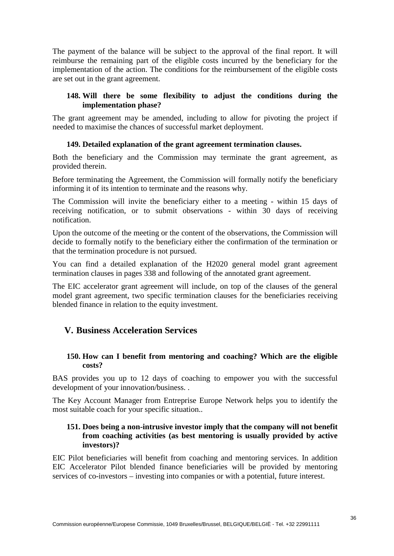The payment of the balance will be subject to the approval of the final report. It will reimburse the remaining part of the eligible costs incurred by the beneficiary for the implementation of the action. The conditions for the reimbursement of the eligible costs are set out in the grant agreement.

#### **148. Will there be some flexibility to adjust the conditions during the implementation phase?**

The grant agreement may be amended, including to allow for pivoting the project if needed to maximise the chances of successful market deployment.

#### **149. Detailed explanation of the grant agreement termination clauses.**

Both the beneficiary and the Commission may terminate the grant agreement, as provided therein.

Before terminating the Agreement, the Commission will formally notify the beneficiary informing it of its intention to terminate and the reasons why.

The Commission will invite the beneficiary either to a meeting - within 15 days of receiving notification, or to submit observations - within 30 days of receiving notification.

Upon the outcome of the meeting or the content of the observations, the Commission will decide to formally notify to the beneficiary either the confirmation of the termination or that the termination procedure is not pursued.

You can find a detailed explanation of the H2020 general model grant agreement termination clauses in pages 338 and following of the [annotated grant agreement.](http://ec.europa.eu/research/participants/data/ref/h2020/grants_manual/amga/h2020-amga_en.pdf)

The EIC accelerator grant agreement will include, on top of the clauses of the general model grant agreement, two specific termination clauses for the beneficiaries receiving blended finance in relation to the equity investment.

# <span id="page-37-0"></span>**V. Business Acceleration Services**

#### **150. How can I benefit from mentoring and coaching? Which are the eligible costs?**

BAS provides you up to 12 days of coaching to empower you with the successful development of your innovation/business. .

The Key Account Manager from Entreprise Europe Network helps you to identify the most suitable coach for your specific situation..

#### **151. Does being a non-intrusive investor imply that the company will not benefit from coaching activities (as best mentoring is usually provided by active investors)?**

EIC Pilot beneficiaries will benefit from coaching and mentoring services. In addition EIC Accelerator Pilot blended finance beneficiaries will be provided by mentoring services of co-investors – investing into companies or with a potential, future interest.